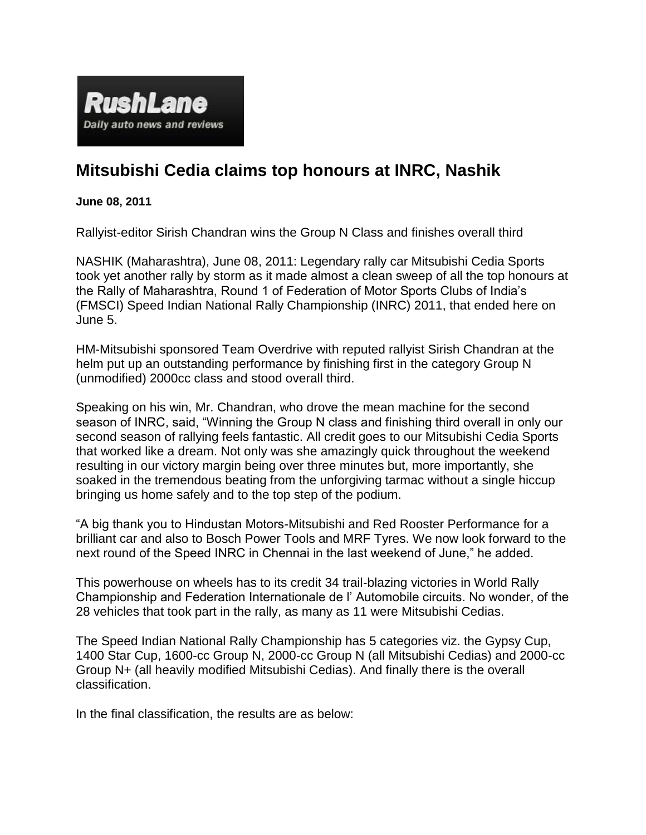

# **Mitsubishi Cedia claims top honours at INRC, Nashik**

**June 08, 2011**

Rallyist-editor Sirish Chandran wins the Group N Class and finishes overall third

NASHIK (Maharashtra), June 08, 2011: Legendary rally car Mitsubishi Cedia Sports took yet another rally by storm as it made almost a clean sweep of all the top honours at the Rally of Maharashtra, Round 1 of Federation of Motor Sports Clubs of India"s (FMSCI) Speed Indian National Rally Championship (INRC) 2011, that ended here on June 5.

HM-Mitsubishi sponsored Team Overdrive with reputed rallyist Sirish Chandran at the helm put up an outstanding performance by finishing first in the category Group N (unmodified) 2000cc class and stood overall third.

Speaking on his win, Mr. Chandran, who drove the mean machine for the second season of INRC, said, "Winning the Group N class and finishing third overall in only our second season of rallying feels fantastic. All credit goes to our Mitsubishi Cedia Sports that worked like a dream. Not only was she amazingly quick throughout the weekend resulting in our victory margin being over three minutes but, more importantly, she soaked in the tremendous beating from the unforgiving tarmac without a single hiccup bringing us home safely and to the top step of the podium.

"A big thank you to Hindustan Motors-Mitsubishi and Red Rooster Performance for a brilliant car and also to Bosch Power Tools and MRF Tyres. We now look forward to the next round of the Speed INRC in Chennai in the last weekend of June," he added.

This powerhouse on wheels has to its credit 34 trail-blazing victories in World Rally Championship and Federation Internationale de l" Automobile circuits. No wonder, of the 28 vehicles that took part in the rally, as many as 11 were Mitsubishi Cedias.

The Speed Indian National Rally Championship has 5 categories viz. the Gypsy Cup, 1400 Star Cup, 1600-cc Group N, 2000-cc Group N (all Mitsubishi Cedias) and 2000-cc Group N+ (all heavily modified Mitsubishi Cedias). And finally there is the overall classification.

In the final classification, the results are as below: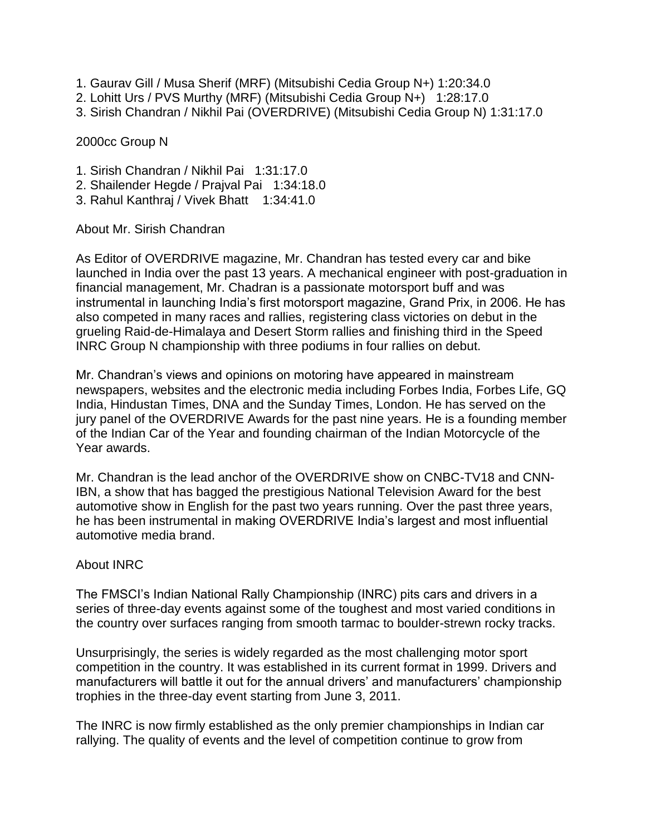- 1. Gaurav Gill / Musa Sherif (MRF) (Mitsubishi Cedia Group N+) 1:20:34.0
- 2. Lohitt Urs / PVS Murthy (MRF) (Mitsubishi Cedia Group N+) 1:28:17.0
- 3. Sirish Chandran / Nikhil Pai (OVERDRIVE) (Mitsubishi Cedia Group N) 1:31:17.0

### 2000cc Group N

- 1. Sirish Chandran / Nikhil Pai 1:31:17.0
- 2. Shailender Hegde / Prajval Pai 1:34:18.0
- 3. Rahul Kanthraj / Vivek Bhatt 1:34:41.0

### About Mr. Sirish Chandran

As Editor of OVERDRIVE magazine, Mr. Chandran has tested every car and bike launched in India over the past 13 years. A mechanical engineer with post-graduation in financial management, Mr. Chadran is a passionate motorsport buff and was instrumental in launching India's first motorsport magazine, Grand Prix, in 2006. He has also competed in many races and rallies, registering class victories on debut in the grueling Raid-de-Himalaya and Desert Storm rallies and finishing third in the Speed INRC Group N championship with three podiums in four rallies on debut.

Mr. Chandran"s views and opinions on motoring have appeared in mainstream newspapers, websites and the electronic media including Forbes India, Forbes Life, GQ India, Hindustan Times, DNA and the Sunday Times, London. He has served on the jury panel of the OVERDRIVE Awards for the past nine years. He is a founding member of the Indian Car of the Year and founding chairman of the Indian Motorcycle of the Year awards.

Mr. Chandran is the lead anchor of the OVERDRIVE show on CNBC-TV18 and CNN-IBN, a show that has bagged the prestigious National Television Award for the best automotive show in English for the past two years running. Over the past three years, he has been instrumental in making OVERDRIVE India"s largest and most influential automotive media brand.

## About INRC

The FMSCI"s Indian National Rally Championship (INRC) pits cars and drivers in a series of three-day events against some of the toughest and most varied conditions in the country over surfaces ranging from smooth tarmac to boulder-strewn rocky tracks.

Unsurprisingly, the series is widely regarded as the most challenging motor sport competition in the country. It was established in its current format in 1999. Drivers and manufacturers will battle it out for the annual drivers' and manufacturers' championship trophies in the three-day event starting from June 3, 2011.

The INRC is now firmly established as the only premier championships in Indian car rallying. The quality of events and the level of competition continue to grow from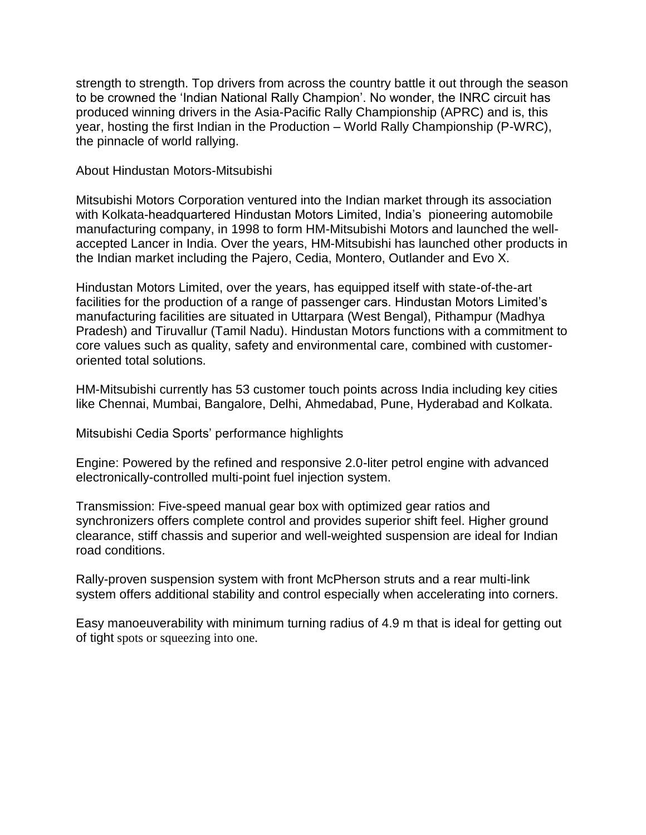strength to strength. Top drivers from across the country battle it out through the season to be crowned the "Indian National Rally Champion". No wonder, the INRC circuit has produced winning drivers in the Asia-Pacific Rally Championship (APRC) and is, this year, hosting the first Indian in the Production – World Rally Championship (P-WRC), the pinnacle of world rallying.

### About Hindustan Motors-Mitsubishi

Mitsubishi Motors Corporation ventured into the Indian market through its association with Kolkata-headquartered Hindustan Motors Limited, India's pioneering automobile manufacturing company, in 1998 to form HM-Mitsubishi Motors and launched the wellaccepted Lancer in India. Over the years, HM-Mitsubishi has launched other products in the Indian market including the Pajero, Cedia, Montero, Outlander and Evo X.

Hindustan Motors Limited, over the years, has equipped itself with state-of-the-art facilities for the production of a range of passenger cars. Hindustan Motors Limited"s manufacturing facilities are situated in Uttarpara (West Bengal), Pithampur (Madhya Pradesh) and Tiruvallur (Tamil Nadu). Hindustan Motors functions with a commitment to core values such as quality, safety and environmental care, combined with customeroriented total solutions.

HM-Mitsubishi currently has 53 customer touch points across India including key cities like Chennai, Mumbai, Bangalore, Delhi, Ahmedabad, Pune, Hyderabad and Kolkata.

Mitsubishi Cedia Sports" performance highlights

Engine: Powered by the refined and responsive 2.0-liter petrol engine with advanced electronically-controlled multi-point fuel injection system.

Transmission: Five-speed manual gear box with optimized gear ratios and synchronizers offers complete control and provides superior shift feel. Higher ground clearance, stiff chassis and superior and well-weighted suspension are ideal for Indian road conditions.

Rally-proven suspension system with front McPherson struts and a rear multi-link system offers additional stability and control especially when accelerating into corners.

Easy manoeuverability with minimum turning radius of 4.9 m that is ideal for getting out of tight spots or squeezing into one.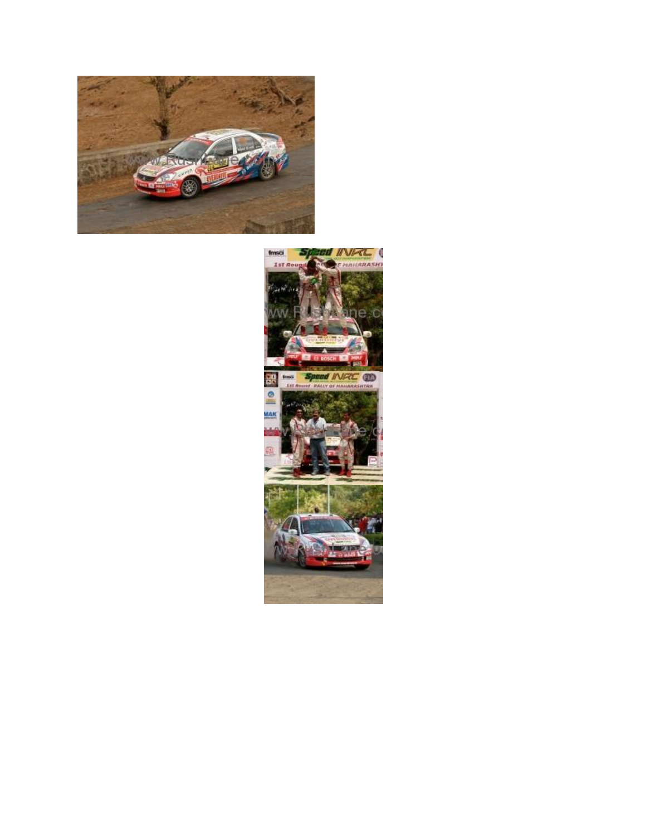